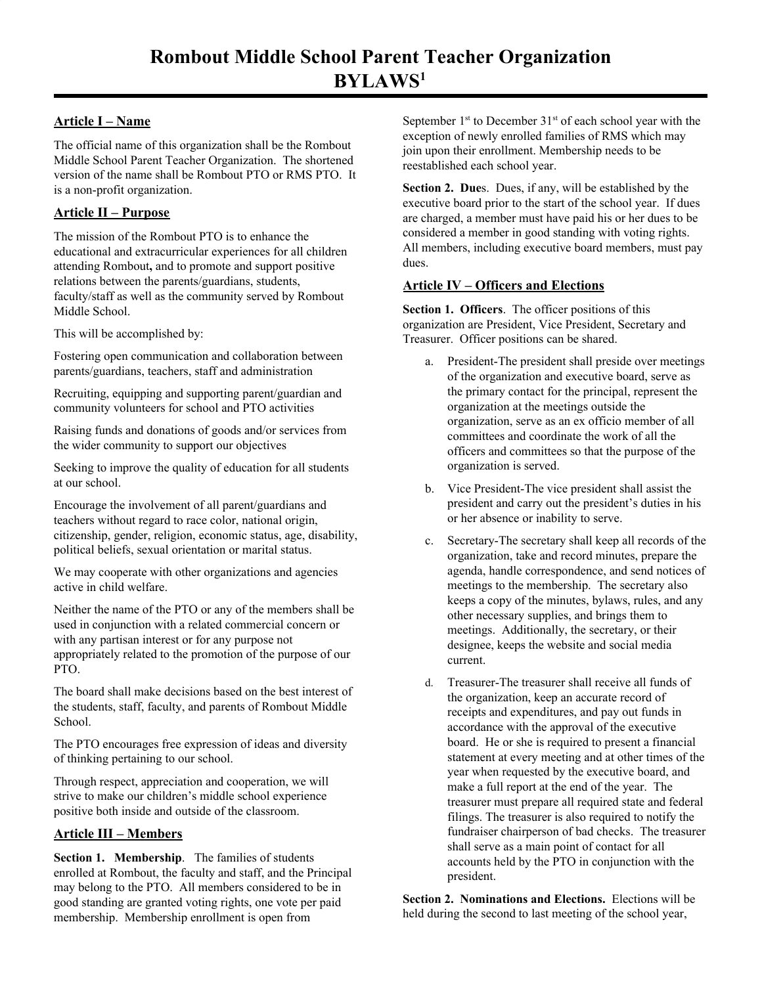# **Article I – Name**

The official name of this organization shall be the Rombout Middle School Parent Teacher Organization. The shortened version of the name shall be Rombout PTO or RMS PTO. It is a non-profit organization.

## **Article II – Purpose**

The mission of the Rombout PTO is to enhance the educational and extracurricular experiences for all children attending Rombout**,** and to promote and support positive relations between the parents/guardians, students, faculty/staff as well as the community served by Rombout Middle School.

This will be accomplished by:

Fostering open communication and collaboration between parents/guardians, teachers, staff and administration

Recruiting, equipping and supporting parent/guardian and community volunteers for school and PTO activities

Raising funds and donations of goods and/or services from the wider community to support our objectives

Seeking to improve the quality of education for all students at our school.

Encourage the involvement of all parent/guardians and teachers without regard to race color, national origin, citizenship, gender, religion, economic status, age, disability, political beliefs, sexual orientation or marital status.

We may cooperate with other organizations and agencies active in child welfare.

Neither the name of the PTO or any of the members shall be used in conjunction with a related commercial concern or with any partisan interest or for any purpose not appropriately related to the promotion of the purpose of our PTO.

The board shall make decisions based on the best interest of the students, staff, faculty, and parents of Rombout Middle School.

The PTO encourages free expression of ideas and diversity of thinking pertaining to our school.

Through respect, appreciation and cooperation, we will strive to make our children's middle school experience positive both inside and outside of the classroom.

## **Article III – Members**

**Section 1. Membership**. The families of students enrolled at Rombout, the faculty and staff, and the Principal may belong to the PTO. All members considered to be in good standing are granted voting rights, one vote per paid membership. Membership enrollment is open from

September  $1<sup>st</sup>$  to December  $31<sup>st</sup>$  of each school year with the exception of newly enrolled families of RMS which may join upon their enrollment. Membership needs to be reestablished each school year.

**Section 2. Due**s. Dues, if any, will be established by the executive board prior to the start of the school year. If dues are charged, a member must have paid his or her dues to be considered a member in good standing with voting rights. All members, including executive board members, must pay dues.

## **Article IV – Officers and Elections**

**Section 1. Officers**. The officer positions of this organization are President, Vice President, Secretary and Treasurer. Officer positions can be shared.

- a. President-The president shall preside over meetings of the organization and executive board, serve as the primary contact for the principal, represent the organization at the meetings outside the organization, serve as an ex officio member of all committees and coordinate the work of all the officers and committees so that the purpose of the organization is served.
- b. Vice President-The vice president shall assist the president and carry out the president's duties in his or her absence or inability to serve.
- c. Secretary-The secretary shall keep all records of the organization, take and record minutes, prepare the agenda, handle correspondence, and send notices of meetings to the membership. The secretary also keeps a copy of the minutes, bylaws, rules, and any other necessary supplies, and brings them to meetings. Additionally, the secretary, or their designee, keeps the website and social media current.
- d. Treasurer-The treasurer shall receive all funds of the organization, keep an accurate record of receipts and expenditures, and pay out funds in accordance with the approval of the executive board. He or she is required to present a financial statement at every meeting and at other times of the year when requested by the executive board, and make a full report at the end of the year. The treasurer must prepare all required state and federal filings. The treasurer is also required to notify the fundraiser chairperson of bad checks. The treasurer shall serve as a main point of contact for all accounts held by the PTO in conjunction with the president.

**Section 2. Nominations and Elections.** Elections will be held during the second to last meeting of the school year,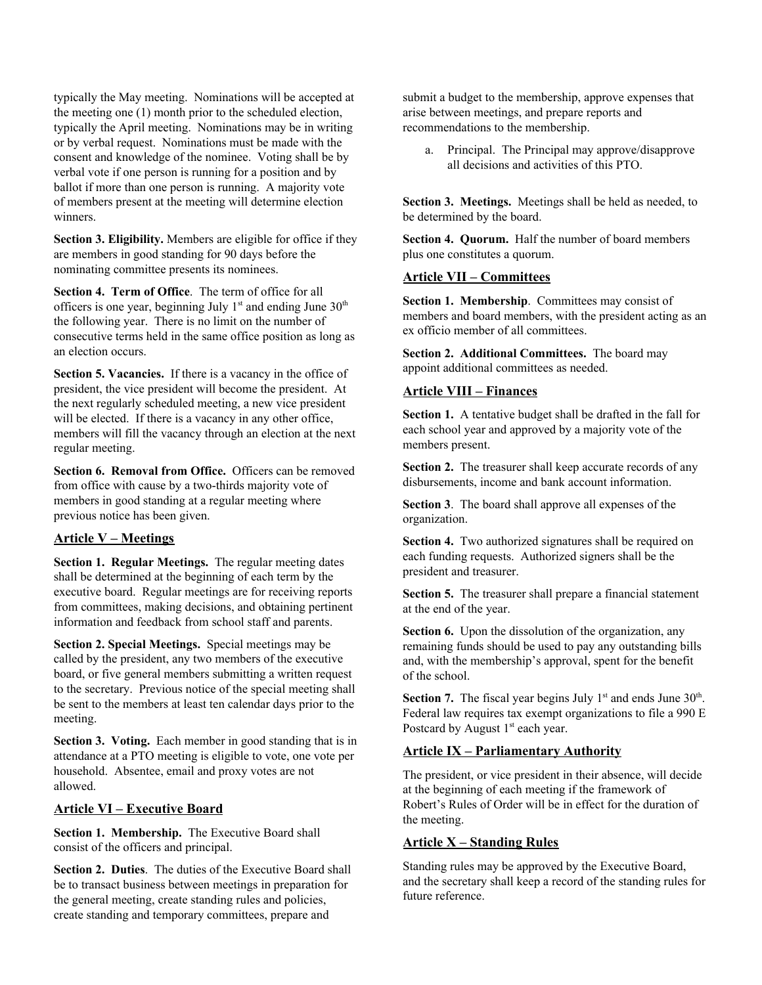typically the May meeting. Nominations will be accepted at the meeting one (1) month prior to the scheduled election, typically the April meeting. Nominations may be in writing or by verbal request. Nominations must be made with the consent and knowledge of the nominee. Voting shall be by verbal vote if one person is running for a position and by ballot if more than one person is running. A majority vote of members present at the meeting will determine election winners.

**Section 3. Eligibility.** Members are eligible for office if they are members in good standing for 90 days before the nominating committee presents its nominees.

**Section 4. Term of Office**. The term of office for all officers is one year, beginning July  $1<sup>st</sup>$  and ending June  $30<sup>th</sup>$ the following year. There is no limit on the number of consecutive terms held in the same office position as long as an election occurs.

**Section 5. Vacancies.** If there is a vacancy in the office of president, the vice president will become the president. At the next regularly scheduled meeting, a new vice president will be elected. If there is a vacancy in any other office, members will fill the vacancy through an election at the next regular meeting.

**Section 6. Removal from Office.** Officers can be removed from office with cause by a two-thirds majority vote of members in good standing at a regular meeting where previous notice has been given.

### **Article V – Meetings**

**Section 1. Regular Meetings.** The regular meeting dates shall be determined at the beginning of each term by the executive board. Regular meetings are for receiving reports from committees, making decisions, and obtaining pertinent information and feedback from school staff and parents.

**Section 2. Special Meetings.** Special meetings may be called by the president, any two members of the executive board, or five general members submitting a written request to the secretary. Previous notice of the special meeting shall be sent to the members at least ten calendar days prior to the meeting.

**Section 3. Voting.** Each member in good standing that is in attendance at a PTO meeting is eligible to vote, one vote per household. Absentee, email and proxy votes are not allowed.

#### **Article VI – Executive Board**

**Section 1. Membership.** The Executive Board shall consist of the officers and principal.

**Section 2. Duties**. The duties of the Executive Board shall be to transact business between meetings in preparation for the general meeting, create standing rules and policies, create standing and temporary committees, prepare and

submit a budget to the membership, approve expenses that arise between meetings, and prepare reports and recommendations to the membership.

a. Principal. The Principal may approve/disapprove all decisions and activities of this PTO.

**Section 3. Meetings.** Meetings shall be held as needed, to be determined by the board.

**Section 4. Quorum.** Half the number of board members plus one constitutes a quorum.

#### **Article VII – Committees**

**Section 1. Membership**. Committees may consist of members and board members, with the president acting as an ex officio member of all committees.

**Section 2. Additional Committees.** The board may appoint additional committees as needed.

### **Article VIII – Finances**

**Section 1.** A tentative budget shall be drafted in the fall for each school year and approved by a majority vote of the members present.

**Section 2.** The treasurer shall keep accurate records of any disbursements, income and bank account information.

**Section 3**. The board shall approve all expenses of the organization.

**Section 4.** Two authorized signatures shall be required on each funding requests. Authorized signers shall be the president and treasurer.

**Section 5.** The treasurer shall prepare a financial statement at the end of the year.

**Section 6.** Upon the dissolution of the organization, any remaining funds should be used to pay any outstanding bills and, with the membership's approval, spent for the benefit of the school.

**Section 7.** The fiscal year begins July  $1<sup>st</sup>$  and ends June  $30<sup>th</sup>$ . Federal law requires tax exempt organizations to file a 990 E Postcard by August 1<sup>st</sup> each year.

### **Article IX – Parliamentary Authority**

The president, or vice president in their absence, will decide at the beginning of each meeting if the framework of Robert's Rules of Order will be in effect for the duration of the meeting.

### **Article X – Standing Rules**

Standing rules may be approved by the Executive Board, and the secretary shall keep a record of the standing rules for future reference.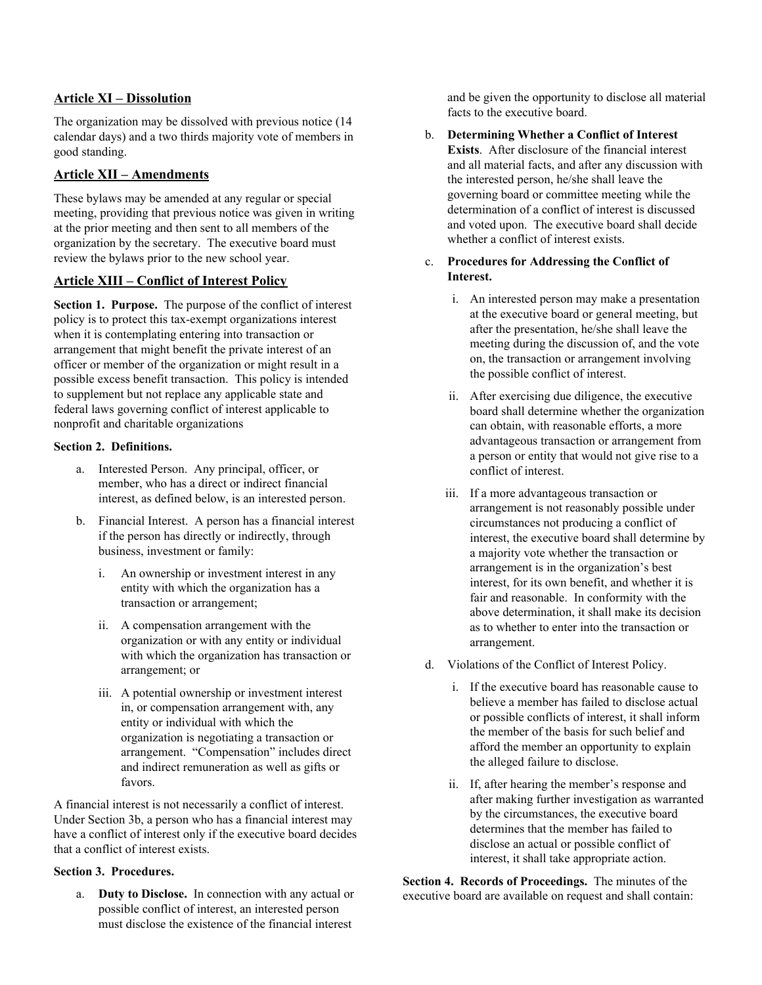### **Article XI – Dissolution**

The organization may be dissolved with previous notice (14 calendar days) and a two thirds majority vote of members in good standing.

## **Article XII – Amendments**

These bylaws may be amended at any regular or special meeting, providing that previous notice was given in writing at the prior meeting and then sent to all members of the organization by the secretary. The executive board must review the bylaws prior to the new school year.

## **Article XIII – Conflict of Interest Policy**

**Section 1. Purpose.** The purpose of the conflict of interest policy is to protect this tax-exempt organizations interest when it is contemplating entering into transaction or arrangement that might benefit the private interest of an officer or member of the organization or might result in a possible excess benefit transaction. This policy is intended to supplement but not replace any applicable state and federal laws governing conflict of interest applicable to nonprofit and charitable organizations

### **Section 2. Definitions.**

- a. Interested Person. Any principal, officer, or member, who has a direct or indirect financial interest, as defined below, is an interested person.
- b. Financial Interest. A person has a financial interest if the person has directly or indirectly, through business, investment or family:
	- i. An ownership or investment interest in any entity with which the organization has a transaction or arrangement;
	- ii. A compensation arrangement with the organization or with any entity or individual with which the organization has transaction or arrangement; or
	- iii. A potential ownership or investment interest in, or compensation arrangement with, any entity or individual with which the organization is negotiating a transaction or arrangement. "Compensation" includes direct and indirect remuneration as well as gifts or favors.

A financial interest is not necessarily a conflict of interest. Under Section 3b, a person who has a financial interest may have a conflict of interest only if the executive board decides that a conflict of interest exists.

### **Section 3. Procedures.**

a. **Duty to Disclose.** In connection with any actual or possible conflict of interest, an interested person must disclose the existence of the financial interest

and be given the opportunity to disclose all material facts to the executive board.

### b. **Determining Whether a Conflict of Interest Exists**. After disclosure of the financial interest and all material facts, and after any discussion with the interested person, he/she shall leave the governing board or committee meeting while the determination of a conflict of interest is discussed and voted upon. The executive board shall decide whether a conflict of interest exists.

#### c. **Procedures for Addressing the Conflict of Interest.**

- i. An interested person may make a presentation at the executive board or general meeting, but after the presentation, he/she shall leave the meeting during the discussion of, and the vote on, the transaction or arrangement involving the possible conflict of interest.
- ii. After exercising due diligence, the executive board shall determine whether the organization can obtain, with reasonable efforts, a more advantageous transaction or arrangement from a person or entity that would not give rise to a conflict of interest.
- iii. If a more advantageous transaction or arrangement is not reasonably possible under circumstances not producing a conflict of interest, the executive board shall determine by a majority vote whether the transaction or arrangement is in the organization's best interest, for its own benefit, and whether it is fair and reasonable. In conformity with the above determination, it shall make its decision as to whether to enter into the transaction or arrangement.
- d. Violations of the Conflict of Interest Policy.
	- i. If the executive board has reasonable cause to believe a member has failed to disclose actual or possible conflicts of interest, it shall inform the member of the basis for such belief and afford the member an opportunity to explain the alleged failure to disclose.
	- ii. If, after hearing the member's response and after making further investigation as warranted by the circumstances, the executive board determines that the member has failed to disclose an actual or possible conflict of interest, it shall take appropriate action.

**Section 4. Records of Proceedings.** The minutes of the executive board are available on request and shall contain: